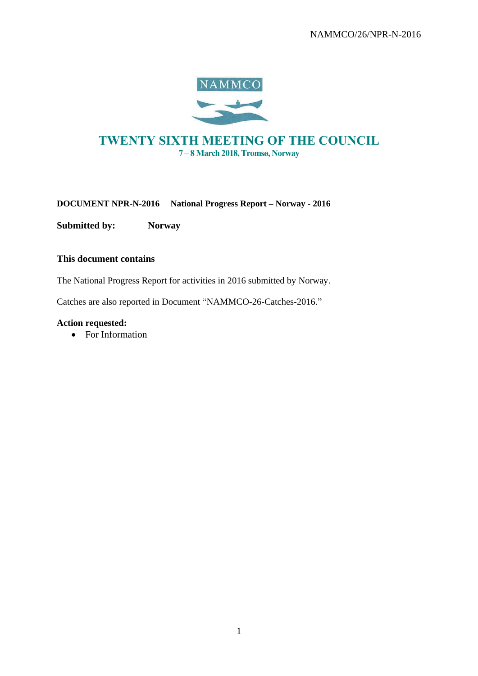

# **TWENTY SIXTH MEETING OF THE COUNCIL 7 – 8 March 2018, Tromsø, Norway**

**DOCUMENT NPR-N-2016 National Progress Report – Norway - 2016**

**Submitted by: Norway**

## **This document contains**

The National Progress Report for activities in 2016 submitted by Norway.

Catches are also reported in Document "NAMMCO-26-Catches-2016."

### **Action requested:**

• For Information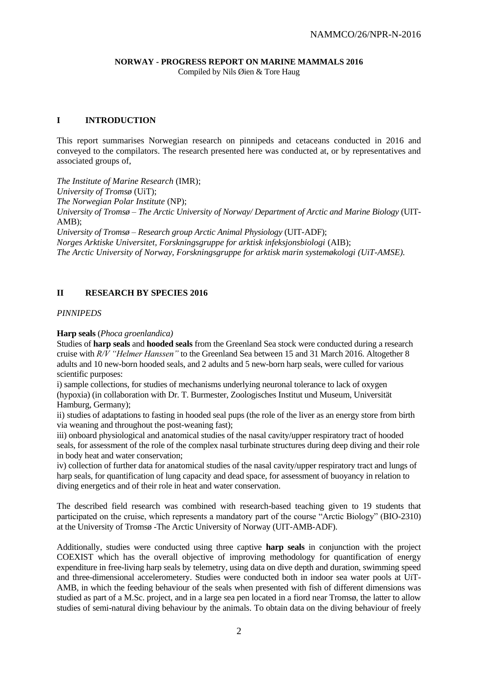# **NORWAY - PROGRESS REPORT ON MARINE MAMMALS 2016**

Compiled by Nils Øien & Tore Haug

# **I INTRODUCTION**

This report summarises Norwegian research on pinnipeds and cetaceans conducted in 2016 and conveyed to the compilators. The research presented here was conducted at, or by representatives and associated groups of,

*The Institute of Marine Research* (IMR); *University of Tromsø* (UiT); *The Norwegian Polar Institute* (NP); *University of Tromsø – The Arctic University of Norway/ Department of Arctic and Marine Biology* (UIT-AMB); *University of Tromsø – Research group Arctic Animal Physiology* (UIT-ADF);

*Norges Arktiske Universitet, Forskningsgruppe for arktisk infeksjonsbiologi* (AIB); *The Arctic University of Norway, Forskningsgruppe for arktisk marin systemøkologi (UiT-AMSE).*

# **II RESEARCH BY SPECIES 2016**

#### *PINNIPEDS*

#### **Harp seals** (*Phoca groenlandica)*

Studies of **harp seals** and **hooded seals** from the Greenland Sea stock were conducted during a research cruise with *R/V "Helmer Hanssen"* to the Greenland Sea between 15 and 31 March 2016. Altogether 8 adults and 10 new-born hooded seals, and 2 adults and 5 new-born harp seals, were culled for various scientific purposes:

i) sample collections, for studies of mechanisms underlying neuronal tolerance to lack of oxygen (hypoxia) (in collaboration with Dr. T. Burmester, Zoologisches Institut und Museum, Universität Hamburg, Germany);

ii) studies of adaptations to fasting in hooded seal pups (the role of the liver as an energy store from birth via weaning and throughout the post-weaning fast);

iii) onboard physiological and anatomical studies of the nasal cavity/upper respiratory tract of hooded seals, for assessment of the role of the complex nasal turbinate structures during deep diving and their role in body heat and water conservation;

iv) collection of further data for anatomical studies of the nasal cavity/upper respiratory tract and lungs of harp seals, for quantification of lung capacity and dead space, for assessment of buoyancy in relation to diving energetics and of their role in heat and water conservation.

The described field research was combined with research-based teaching given to 19 students that participated on the cruise, which represents a mandatory part of the course "Arctic Biology" (BIO-2310) at the University of Tromsø -The Arctic University of Norway (UIT-AMB-ADF).

Additionally, studies were conducted using three captive **harp seals** in conjunction with the project COEXIST which has the overall objective of improving methodology for quantification of energy expenditure in free-living harp seals by telemetry, using data on dive depth and duration, swimming speed and three-dimensional accelerometery. Studies were conducted both in indoor sea water pools at UiT-AMB, in which the feeding behaviour of the seals when presented with fish of different dimensions was studied as part of a M.Sc. project, and in a large sea pen located in a fiord near Tromsø, the latter to allow studies of semi-natural diving behaviour by the animals. To obtain data on the diving behaviour of freely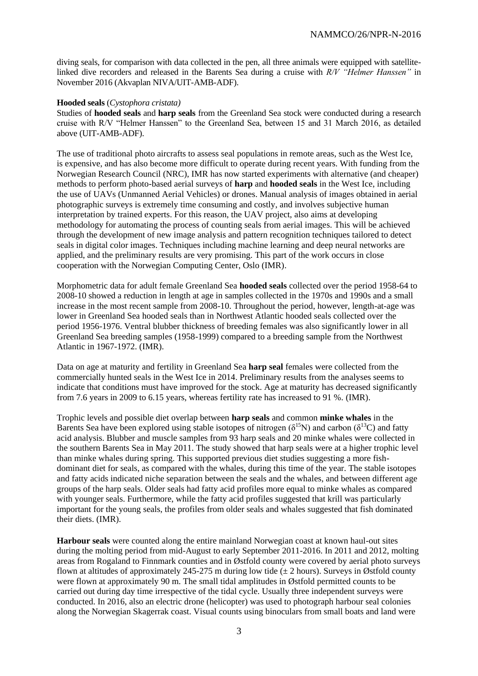diving seals, for comparison with data collected in the pen, all three animals were equipped with satellitelinked dive recorders and released in the Barents Sea during a cruise with *R/V "Helmer Hanssen"* in November 2016 (Akvaplan NIVA/UIT-AMB-ADF).

#### **Hooded seals** (*Cystophora cristata)*

Studies of **hooded seals** and **harp seals** from the Greenland Sea stock were conducted during a research cruise with R/V "Helmer Hanssen" to the Greenland Sea, between 15 and 31 March 2016, as detailed above (UIT-AMB-ADF).

The use of traditional photo aircrafts to assess seal populations in remote areas, such as the West Ice, is expensive, and has also become more difficult to operate during recent years. With funding from the Norwegian Research Council (NRC), IMR has now started experiments with alternative (and cheaper) methods to perform photo-based aerial surveys of **harp** and **hooded seals** in the West Ice, including the use of UAVs (Unmanned Aerial Vehicles) or drones. Manual analysis of images obtained in aerial photographic surveys is extremely time consuming and costly, and involves subjective human interpretation by trained experts. For this reason, the UAV project, also aims at developing methodology for automating the process of counting seals from aerial images. This will be achieved through the development of new image analysis and pattern recognition techniques tailored to detect seals in digital color images. Techniques including machine learning and deep neural networks are applied, and the preliminary results are very promising. This part of the work occurs in close cooperation with the Norwegian Computing Center, Oslo (IMR).

Morphometric data for adult female Greenland Sea **hooded seals** collected over the period 1958-64 to 2008-10 showed a reduction in length at age in samples collected in the 1970s and 1990s and a small increase in the most recent sample from 2008-10. Throughout the period, however, length-at-age was lower in Greenland Sea hooded seals than in Northwest Atlantic hooded seals collected over the period 1956-1976. Ventral blubber thickness of breeding females was also significantly lower in all Greenland Sea breeding samples (1958-1999) compared to a breeding sample from the Northwest Atlantic in 1967-1972. (IMR).

Data on age at maturity and fertility in Greenland Sea **harp seal** females were collected from the commercially hunted seals in the West Ice in 2014. Preliminary results from the analyses seems to indicate that conditions must have improved for the stock. Age at maturity has decreased significantly from 7.6 years in 2009 to 6.15 years, whereas fertility rate has increased to 91 %. (IMR).

Trophic levels and possible diet overlap between **harp seals** and common **minke whales** in the Barents Sea have been explored using stable isotopes of nitrogen ( $\delta^{15}N$ ) and carbon ( $\delta^{13}C$ ) and fatty acid analysis. Blubber and muscle samples from 93 harp seals and 20 minke whales were collected in the southern Barents Sea in May 2011. The study showed that harp seals were at a higher trophic level than minke whales during spring. This supported previous diet studies suggesting a more fishdominant diet for seals, as compared with the whales, during this time of the year. The stable isotopes and fatty acids indicated niche separation between the seals and the whales, and between different age groups of the harp seals. Older seals had fatty acid profiles more equal to minke whales as compared with younger seals. Furthermore, while the fatty acid profiles suggested that krill was particularly important for the young seals, the profiles from older seals and whales suggested that fish dominated their diets. (IMR).

**Harbour seals** were counted along the entire mainland Norwegian coast at known haul-out sites during the molting period from mid-August to early September 2011-2016. In 2011 and 2012, molting areas from Rogaland to Finnmark counties and in Østfold county were covered by aerial photo surveys flown at altitudes of approximately 245-275 m during low tide ( $\pm$  2 hours). Surveys in Østfold county were flown at approximately 90 m. The small tidal amplitudes in Østfold permitted counts to be carried out during day time irrespective of the tidal cycle. Usually three independent surveys were conducted. In 2016, also an electric drone (helicopter) was used to photograph harbour seal colonies along the Norwegian Skagerrak coast. Visual counts using binoculars from small boats and land were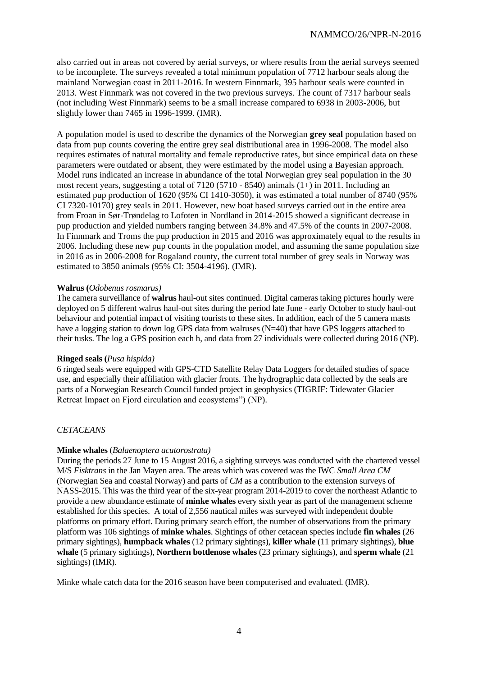also carried out in areas not covered by aerial surveys, or where results from the aerial surveys seemed to be incomplete. The surveys revealed a total minimum population of 7712 harbour seals along the mainland Norwegian coast in 2011-2016. In western Finnmark, 395 harbour seals were counted in 2013. West Finnmark was not covered in the two previous surveys. The count of 7317 harbour seals (not including West Finnmark) seems to be a small increase compared to 6938 in 2003-2006, but slightly lower than 7465 in 1996-1999. (IMR).

A population model is used to describe the dynamics of the Norwegian **grey seal** population based on data from pup counts covering the entire grey seal distributional area in 1996-2008. The model also requires estimates of natural mortality and female reproductive rates, but since empirical data on these parameters were outdated or absent, they were estimated by the model using a Bayesian approach. Model runs indicated an increase in abundance of the total Norwegian grey seal population in the 30 most recent years, suggesting a total of 7120 (5710 - 8540) animals (1+) in 2011. Including an estimated pup production of 1620 (95% CI 1410-3050), it was estimated a total number of 8740 (95% CI 7320-10170) grey seals in 2011. However, new boat based surveys carried out in the entire area from Froan in Sør-Trøndelag to Lofoten in Nordland in 2014-2015 showed a significant decrease in pup production and yielded numbers ranging between 34.8% and 47.5% of the counts in 2007-2008. In Finnmark and Troms the pup production in 2015 and 2016 was approximately equal to the results in 2006. Including these new pup counts in the population model, and assuming the same population size in 2016 as in 2006-2008 for Rogaland county, the current total number of grey seals in Norway was estimated to 3850 animals (95% CI: 3504-4196). (IMR).

#### **Walrus (***Odobenus rosmarus)*

The camera surveillance of **walrus** haul-out sites continued. Digital cameras taking pictures hourly were deployed on 5 different walrus haul-out sites during the period late June - early October to study haul-out behaviour and potential impact of visiting tourists to these sites. In addition, each of the 5 camera masts have a logging station to down log GPS data from walruses (N=40) that have GPS loggers attached to their tusks. The log a GPS position each h, and data from 27 individuals were collected during 2016 (NP).

#### **Ringed seals (***Pusa hispida)*

6 ringed seals were equipped with GPS-CTD Satellite Relay Data Loggers for detailed studies of space use, and especially their affiliation with glacier fronts. The hydrographic data collected by the seals are parts of a Norwegian Research Council funded project in geophysics (TIGRIF: Tidewater Glacier Retreat Impact on Fjord circulation and ecosystems") (NP).

### *CETACEANS*

#### **Minke whales** (*Balaenoptera acutorostrata)*

During the periods 27 June to 15 August 2016, a sighting surveys was conducted with the chartered vessel M/S *Fisktrans* in the Jan Mayen area. The areas which was covered was the IWC *Small Area CM* (Norwegian Sea and coastal Norway) and parts of *CM* as a contribution to the extension surveys of NASS-2015. This was the third year of the six-year program 2014-2019 to cover the northeast Atlantic to provide a new abundance estimate of **minke whales** every sixth year as part of the management scheme established for this species. A total of 2,556 nautical miles was surveyed with independent double platforms on primary effort. During primary search effort, the number of observations from the primary platform was 106 sightings of **minke whales**. Sightings of other cetacean species include **fin whales** (26 primary sightings), **humpback whales** (12 primary sightings), **killer whale** (11 primary sightings), **blue whale** (5 primary sightings), **Northern bottlenose whales** (23 primary sightings), and **sperm whale** (21 sightings) (IMR).

Minke whale catch data for the 2016 season have been computerised and evaluated. (IMR).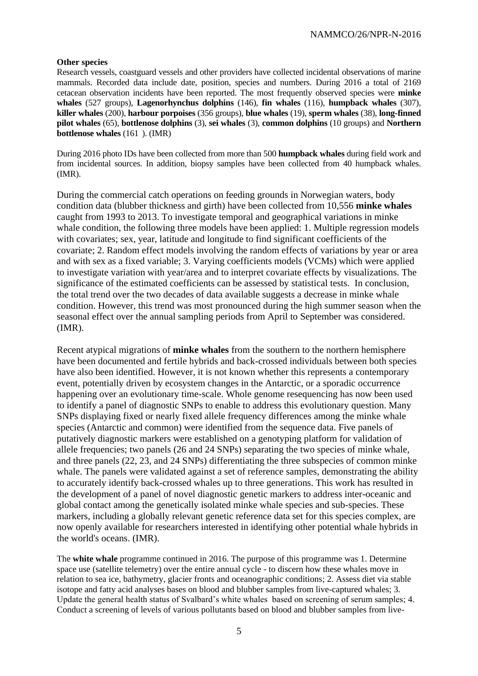### **Other species**

Research vessels, coastguard vessels and other providers have collected incidental observations of marine mammals. Recorded data include date, position, species and numbers. During 2016 a total of 2169 cetacean observation incidents have been reported. The most frequently observed species were **minke whales** (527 groups), **Lagenorhynchus dolphins** (146), **fin whales** (116), **humpback whales** (307), **killer whales** (200), **harbour porpoises** (356 groups), **blue whales** (19), **sperm whales** (38), **long-finned pilot whales** (65), **bottlenose dolphins** (3), **sei whales** (3), **common dolphins** (10 groups) and **Northern bottlenose whales** (161 ). (IMR)

During 2016 photo IDs have been collected from more than 500 **humpback whales** during field work and from incidental sources. In addition, biopsy samples have been collected from 40 humpback whales. (IMR).

During the commercial catch operations on feeding grounds in Norwegian waters, body condition data (blubber thickness and girth) have been collected from 10,556 **minke whales** caught from 1993 to 2013. To investigate temporal and geographical variations in minke whale condition, the following three models have been applied: 1. Multiple regression models with covariates; sex, year, latitude and longitude to find significant coefficients of the covariate; 2. Random effect models involving the random effects of variations by year or area and with sex as a fixed variable; 3. Varying coefficients models (VCMs) which were applied to investigate variation with year/area and to interpret covariate effects by visualizations. The significance of the estimated coefficients can be assessed by statistical tests. In conclusion, the total trend over the two decades of data available suggests a decrease in minke whale condition. However, this trend was most pronounced during the high summer season when the seasonal effect over the annual sampling periods from April to September was considered. (IMR).

Recent atypical migrations of **minke whales** from the southern to the northern hemisphere have been documented and fertile hybrids and back-crossed individuals between both species have also been identified. However, it is not known whether this represents a contemporary event, potentially driven by ecosystem changes in the Antarctic, or a sporadic occurrence happening over an evolutionary time-scale. Whole genome resequencing has now been used to identify a panel of diagnostic SNPs to enable to address this evolutionary question. Many SNPs displaying fixed or nearly fixed allele frequency differences among the minke whale species (Antarctic and common) were identified from the sequence data. Five panels of putatively diagnostic markers were established on a genotyping platform for validation of allele frequencies; two panels (26 and 24 SNPs) separating the two species of minke whale, and three panels (22, 23, and 24 SNPs) differentiating the three subspecies of common minke whale. The panels were validated against a set of reference samples, demonstrating the ability to accurately identify back-crossed whales up to three generations. This work has resulted in the development of a panel of novel diagnostic genetic markers to address inter-oceanic and global contact among the genetically isolated minke whale species and sub-species. These markers, including a globally relevant genetic reference data set for this species complex, are now openly available for researchers interested in identifying other potential whale hybrids in the world's oceans. (IMR).

The **white whale** programme continued in 2016. The purpose of this programme was 1. Determine space use (satellite telemetry) over the entire annual cycle - to discern how these whales move in relation to sea ice, bathymetry, glacier fronts and oceanographic conditions; 2. Assess diet via stable isotope and fatty acid analyses bases on blood and blubber samples from live-captured whales; 3. Update the general health status of Svalbard's white whales based on screening of serum samples; 4. Conduct a screening of levels of various pollutants based on blood and blubber samples from live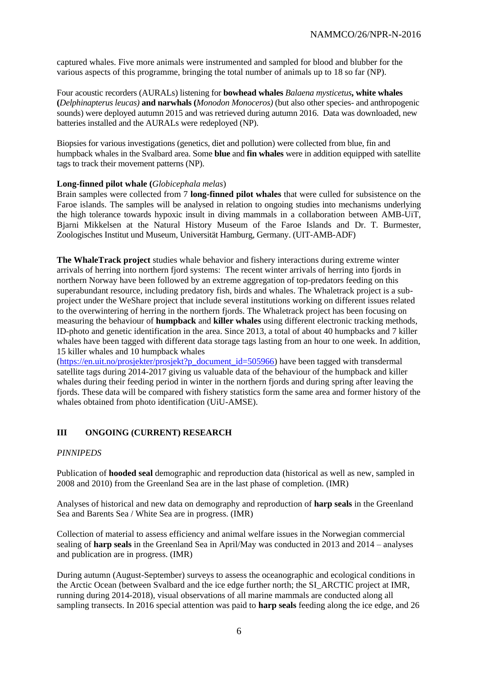captured whales. Five more animals were instrumented and sampled for blood and blubber for the various aspects of this programme, bringing the total number of animals up to 18 so far (NP).

Four acoustic recorders (AURALs) listening for **bowhead whales** *Balaena mysticetus***, white whales (***Delphinapterus leucas)* **and narwhals (***Monodon Monoceros)* (but also other species- and anthropogenic sounds) were deployed autumn 2015 and was retrieved during autumn 2016. Data was downloaded, new batteries installed and the AURALs were redeployed (NP).

Biopsies for various investigations (genetics, diet and pollution) were collected from blue, fin and humpback whales in the Svalbard area. Some **blue** and **fin whales** were in addition equipped with satellite tags to track their movement patterns (NP).

### **Long-finned pilot whale (***Globicephala melas*)

Brain samples were collected from 7 **long-finned pilot whales** that were culled for subsistence on the Faroe islands. The samples will be analysed in relation to ongoing studies into mechanisms underlying the high tolerance towards hypoxic insult in diving mammals in a collaboration between AMB-UiT, Bjarni Mikkelsen at the Natural History Museum of the Faroe Islands and Dr. T. Burmester, Zoologisches Institut und Museum, Universität Hamburg, Germany. (UIT-AMB-ADF)

**The WhaleTrack project** studies whale behavior and fishery interactions during extreme winter arrivals of herring into northern fjord systems:The recent winter arrivals of herring into fjords in northern Norway have been followed by an extreme aggregation of top-predators feeding on this superabundant resource, including predatory fish, birds and whales. The Whaletrack project is a subproject under the WeShare project that include several institutions working on different issues related to the overwintering of herring in the northern fjords. The Whaletrack project has been focusing on measuring the behaviour of **humpback** and **killer whales** using different electronic tracking methods, ID-photo and genetic identification in the area. Since 2013, a total of about 40 humpbacks and 7 killer whales have been tagged with different data storage tags lasting from an hour to one week. In addition, 15 killer whales and 10 humpback whales

[\(https://en.uit.no/prosjekter/prosjekt?p\\_document\\_id=505966\)](https://en.uit.no/prosjekter/prosjekt?p_document_id=505966) have been tagged with transdermal satellite tags during 2014-2017 giving us valuable data of the behaviour of the humpback and killer whales during their feeding period in winter in the northern fjords and during spring after leaving the fjords. These data will be compared with fishery statistics form the same area and former history of the whales obtained from photo identification (UiU-AMSE).

# **III ONGOING (CURRENT) RESEARCH**

### *PINNIPEDS*

Publication of **hooded seal** demographic and reproduction data (historical as well as new, sampled in 2008 and 2010) from the Greenland Sea are in the last phase of completion. (IMR)

Analyses of historical and new data on demography and reproduction of **harp seals** in the Greenland Sea and Barents Sea / White Sea are in progress. (IMR)

Collection of material to assess efficiency and animal welfare issues in the Norwegian commercial sealing of **harp seals** in the Greenland Sea in April/May was conducted in 2013 and 2014 – analyses and publication are in progress. (IMR)

During autumn (August-September) surveys to assess the oceanographic and ecological conditions in the Arctic Ocean (between Svalbard and the ice edge further north; the SI\_ARCTIC project at IMR, running during 2014-2018), visual observations of all marine mammals are conducted along all sampling transects. In 2016 special attention was paid to **harp seals** feeding along the ice edge, and 26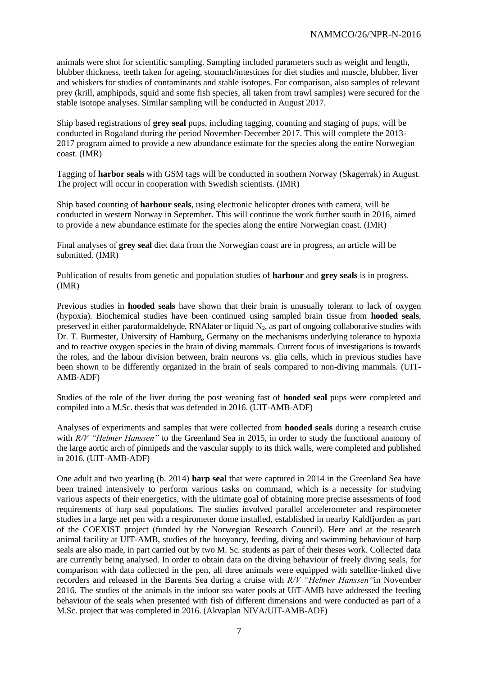animals were shot for scientific sampling. Sampling included parameters such as weight and length, blubber thickness, teeth taken for ageing, stomach/intestines for diet studies and muscle, blubber, liver and whiskers for studies of contaminants and stable isotopes. For comparison, also samples of relevant prey (krill, amphipods, squid and some fish species, all taken from trawl samples) were secured for the stable isotope analyses. Similar sampling will be conducted in August 2017.

Ship based registrations of **grey seal** pups, including tagging, counting and staging of pups, will be conducted in Rogaland during the period November-December 2017. This will complete the 2013- 2017 program aimed to provide a new abundance estimate for the species along the entire Norwegian coast. (IMR)

Tagging of **harbor seals** with GSM tags will be conducted in southern Norway (Skagerrak) in August. The project will occur in cooperation with Swedish scientists. (IMR)

Ship based counting of **harbour seals**, using electronic helicopter drones with camera, will be conducted in western Norway in September. This will continue the work further south in 2016, aimed to provide a new abundance estimate for the species along the entire Norwegian coast. (IMR)

Final analyses of **grey seal** diet data from the Norwegian coast are in progress, an article will be submitted. (IMR)

Publication of results from genetic and population studies of **harbour** and **grey seals** is in progress. (IMR)

Previous studies in **hooded seals** have shown that their brain is unusually tolerant to lack of oxygen (hypoxia). Biochemical studies have been continued using sampled brain tissue from **hooded seals**, preserved in either paraformaldehyde, RNA later or liquid  $N_2$ , as part of ongoing collaborative studies with Dr. T. Burmester, University of Hamburg, Germany on the mechanisms underlying tolerance to hypoxia and to reactive oxygen species in the brain of diving mammals. Current focus of investigations is towards the roles, and the labour division between, brain neurons vs. glia cells, which in previous studies have been shown to be differently organized in the brain of seals compared to non-diving mammals. (UIT-AMB-ADF)

Studies of the role of the liver during the post weaning fast of **hooded seal** pups were completed and compiled into a M.Sc. thesis that was defended in 2016. (UIT-AMB-ADF)

Analyses of experiments and samples that were collected from **hooded seals** during a research cruise with *R/V "Helmer Hanssen"* to the Greenland Sea in 2015, in order to study the functional anatomy of the large aortic arch of pinnipeds and the vascular supply to its thick walls, were completed and published in 2016. (UIT-AMB-ADF)

One adult and two yearling (b. 2014) **harp seal** that were captured in 2014 in the Greenland Sea have been trained intensively to perform various tasks on command, which is a necessity for studying various aspects of their energetics, with the ultimate goal of obtaining more precise assessments of food requirements of harp seal populations. The studies involved parallel accelerometer and respirometer studies in a large net pen with a respirometer dome installed, established in nearby Kaldfjorden as part of the COEXIST project (funded by the Norwegian Research Council). Here and at the research animal facility at UIT-AMB, studies of the buoyancy, feeding, diving and swimming behaviour of harp seals are also made, in part carried out by two M. Sc. students as part of their theses work. Collected data are currently being analysed. In order to obtain data on the diving behaviour of freely diving seals, for comparison with data collected in the pen, all three animals were equipped with satellite-linked dive recorders and released in the Barents Sea during a cruise with *R/V "Helmer Hanssen"*in November 2016. The studies of the animals in the indoor sea water pools at UiT-AMB have addressed the feeding behaviour of the seals when presented with fish of different dimensions and were conducted as part of a M.Sc. project that was completed in 2016. (Akvaplan NIVA/UIT-AMB-ADF)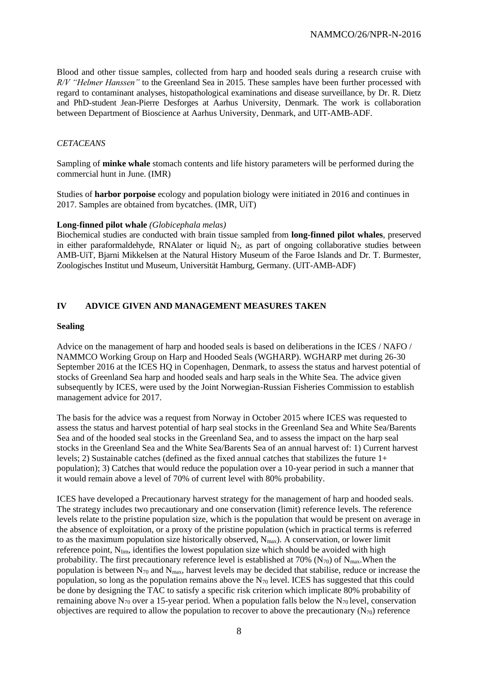Blood and other tissue samples, collected from harp and hooded seals during a research cruise with *R/V "Helmer Hanssen"* to the Greenland Sea in 2015. These samples have been further processed with regard to contaminant analyses, histopathological examinations and disease surveillance, by Dr. R. Dietz and PhD-student Jean-Pierre Desforges at Aarhus University, Denmark. The work is collaboration between Department of Bioscience at Aarhus University, Denmark, and UIT-AMB-ADF.

### *CETACEANS*

Sampling of **minke whale** stomach contents and life history parameters will be performed during the commercial hunt in June. (IMR)

Studies of **harbor porpoise** ecology and population biology were initiated in 2016 and continues in 2017. Samples are obtained from bycatches. (IMR, UiT)

#### **Long-finned pilot whale** *(Globicephala melas)*

Biochemical studies are conducted with brain tissue sampled from **long-finned pilot whales**, preserved in either paraformaldehyde, RNAlater or liquid  $N_2$ , as part of ongoing collaborative studies between AMB-UiT, Bjarni Mikkelsen at the Natural History Museum of the Faroe Islands and Dr. T. Burmester, Zoologisches Institut und Museum, Universität Hamburg, Germany. (UIT-AMB-ADF)

# **IV ADVICE GIVEN AND MANAGEMENT MEASURES TAKEN**

#### **Sealing**

Advice on the management of harp and hooded seals is based on deliberations in the ICES / NAFO / NAMMCO Working Group on Harp and Hooded Seals (WGHARP). WGHARP met during 26-30 September 2016 at the ICES HO in Copenhagen, Denmark, to assess the status and harvest potential of stocks of Greenland Sea harp and hooded seals and harp seals in the White Sea. The advice given subsequently by ICES, were used by the Joint Norwegian-Russian Fisheries Commission to establish management advice for 2017.

The basis for the advice was a request from Norway in October 2015 where ICES was requested to assess the status and harvest potential of harp seal stocks in the Greenland Sea and White Sea/Barents Sea and of the hooded seal stocks in the Greenland Sea, and to assess the impact on the harp seal stocks in the Greenland Sea and the White Sea/Barents Sea of an annual harvest of: 1) Current harvest levels; 2) Sustainable catches (defined as the fixed annual catches that stabilizes the future 1+ population); 3) Catches that would reduce the population over a 10-year period in such a manner that it would remain above a level of 70% of current level with 80% probability.

ICES have developed a Precautionary harvest strategy for the management of harp and hooded seals. The strategy includes two precautionary and one conservation (limit) reference levels. The reference levels relate to the pristine population size, which is the population that would be present on average in the absence of exploitation, or a proxy of the pristine population (which in practical terms is referred to as the maximum population size historically observed,  $N_{max}$ ). A conservation, or lower limit reference point, N<sub>lim</sub>, identifies the lowest population size which should be avoided with high probability. The first precautionary reference level is established at 70% (N<sub>70</sub>) of N<sub>max</sub>. When the population is between  $N_{70}$  and  $N_{\text{max}}$ , harvest levels may be decided that stabilise, reduce or increase the population, so long as the population remains above the  $N_{70}$  level. ICES has suggested that this could be done by designing the TAC to satisfy a specific risk criterion which implicate 80% probability of remaining above  $N_{70}$  over a 15-year period. When a population falls below the  $N_{70}$  level, conservation objectives are required to allow the population to recover to above the precautionary  $(N_{70})$  reference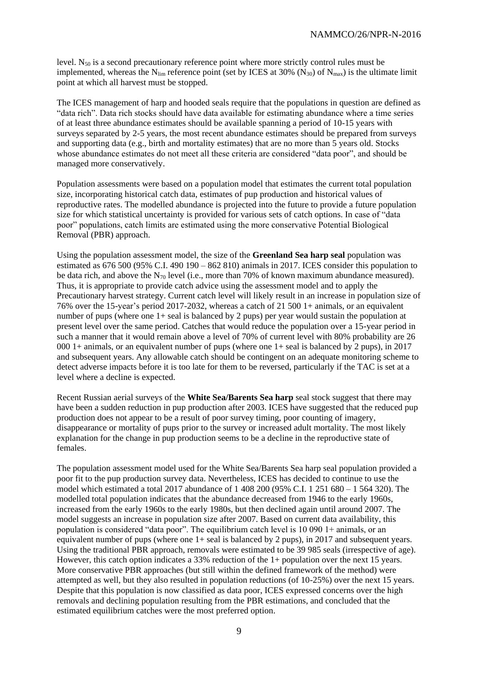level. N<sup>50</sup> is a second precautionary reference point where more strictly control rules must be implemented, whereas the N<sub>lim</sub> reference point (set by ICES at 30% (N<sub>30</sub>) of N<sub>max</sub>) is the ultimate limit point at which all harvest must be stopped.

The ICES management of harp and hooded seals require that the populations in question are defined as "data rich". Data rich stocks should have data available for estimating abundance where a time series of at least three abundance estimates should be available spanning a period of 10-15 years with surveys separated by 2-5 years, the most recent abundance estimates should be prepared from surveys and supporting data (e.g., birth and mortality estimates) that are no more than 5 years old. Stocks whose abundance estimates do not meet all these criteria are considered "data poor", and should be managed more conservatively.

Population assessments were based on a population model that estimates the current total population size, incorporating historical catch data, estimates of pup production and historical values of reproductive rates. The modelled abundance is projected into the future to provide a future population size for which statistical uncertainty is provided for various sets of catch options. In case of "data poor" populations, catch limits are estimated using the more conservative Potential Biological Removal (PBR) approach.

Using the population assessment model, the size of the **Greenland Sea harp seal** population was estimated as 676 500 (95% C.I. 490 190 – 862 810) animals in 2017. ICES consider this population to be data rich, and above the  $N_{70}$  level (i.e., more than 70% of known maximum abundance measured). Thus, it is appropriate to provide catch advice using the assessment model and to apply the Precautionary harvest strategy. Current catch level will likely result in an increase in population size of 76% over the 15-year's period 2017-2032, whereas a catch of 21 500 1+ animals, or an equivalent number of pups (where one 1+ seal is balanced by 2 pups) per year would sustain the population at present level over the same period. Catches that would reduce the population over a 15-year period in such a manner that it would remain above a level of 70% of current level with 80% probability are 26 000 1+ animals, or an equivalent number of pups (where one 1+ seal is balanced by 2 pups), in 2017 and subsequent years. Any allowable catch should be contingent on an adequate monitoring scheme to detect adverse impacts before it is too late for them to be reversed, particularly if the TAC is set at a level where a decline is expected.

Recent Russian aerial surveys of the **White Sea/Barents Sea harp** seal stock suggest that there may have been a sudden reduction in pup production after 2003. ICES have suggested that the reduced pup production does not appear to be a result of poor survey timing, poor counting of imagery, disappearance or mortality of pups prior to the survey or increased adult mortality. The most likely explanation for the change in pup production seems to be a decline in the reproductive state of females.

The population assessment model used for the White Sea/Barents Sea harp seal population provided a poor fit to the pup production survey data. Nevertheless, ICES has decided to continue to use the model which estimated a total 2017 abundance of 1 408 200 (95% C.I. 1 251 680 – 1 564 320). The modelled total population indicates that the abundance decreased from 1946 to the early 1960s, increased from the early 1960s to the early 1980s, but then declined again until around 2007. The model suggests an increase in population size after 2007. Based on current data availability, this population is considered "data poor". The equilibrium catch level is  $10\,090$  1+ animals, or an equivalent number of pups (where one 1+ seal is balanced by 2 pups), in 2017 and subsequent years. Using the traditional PBR approach, removals were estimated to be 39 985 seals (irrespective of age). However, this catch option indicates a 33% reduction of the 1+ population over the next 15 years. More conservative PBR approaches (but still within the defined framework of the method) were attempted as well, but they also resulted in population reductions (of 10-25%) over the next 15 years. Despite that this population is now classified as data poor, ICES expressed concerns over the high removals and declining population resulting from the PBR estimations, and concluded that the estimated equilibrium catches were the most preferred option.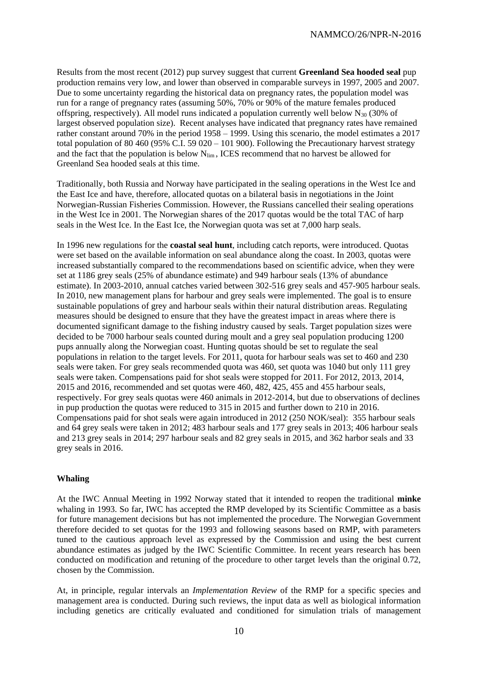Results from the most recent (2012) pup survey suggest that current **Greenland Sea hooded seal** pup production remains very low, and lower than observed in comparable surveys in 1997, 2005 and 2007. Due to some uncertainty regarding the historical data on pregnancy rates, the population model was run for a range of pregnancy rates (assuming 50%, 70% or 90% of the mature females produced offspring, respectively). All model runs indicated a population currently well below  $N_{30}$  (30% of largest observed population size). Recent analyses have indicated that pregnancy rates have remained rather constant around 70% in the period 1958 – 1999. Using this scenario, the model estimates a 2017 total population of 80 460 (95% C.I. 59 020 – 101 900). Following the Precautionary harvest strategy and the fact that the population is below  $N_{\text{lim}}$ , ICES recommend that no harvest be allowed for Greenland Sea hooded seals at this time.

Traditionally, both Russia and Norway have participated in the sealing operations in the West Ice and the East Ice and have, therefore, allocated quotas on a bilateral basis in negotiations in the Joint Norwegian-Russian Fisheries Commission. However, the Russians cancelled their sealing operations in the West Ice in 2001. The Norwegian shares of the 2017 quotas would be the total TAC of harp seals in the West Ice. In the East Ice, the Norwegian quota was set at 7,000 harp seals.

In 1996 new regulations for the **coastal seal hunt**, including catch reports, were introduced. Quotas were set based on the available information on seal abundance along the coast. In 2003, quotas were increased substantially compared to the recommendations based on scientific advice, when they were set at 1186 grey seals (25% of abundance estimate) and 949 harbour seals (13% of abundance estimate). In 2003-2010, annual catches varied between 302-516 grey seals and 457-905 harbour seals. In 2010, new management plans for harbour and grey seals were implemented. The goal is to ensure sustainable populations of grey and harbour seals within their natural distribution areas. Regulating measures should be designed to ensure that they have the greatest impact in areas where there is documented significant damage to the fishing industry caused by seals. Target population sizes were decided to be 7000 harbour seals counted during moult and a grey seal population producing 1200 pups annually along the Norwegian coast. Hunting quotas should be set to regulate the seal populations in relation to the target levels. For 2011, quota for harbour seals was set to 460 and 230 seals were taken. For grey seals recommended quota was 460, set quota was 1040 but only 111 grey seals were taken. Compensations paid for shot seals were stopped for 2011. For 2012, 2013, 2014, 2015 and 2016, recommended and set quotas were 460, 482, 425, 455 and 455 harbour seals, respectively. For grey seals quotas were 460 animals in 2012-2014, but due to observations of declines in pup production the quotas were reduced to 315 in 2015 and further down to 210 in 2016. Compensations paid for shot seals were again introduced in 2012 (250 NOK/seal): 355 harbour seals and 64 grey seals were taken in 2012; 483 harbour seals and 177 grey seals in 2013; 406 harbour seals and 213 grey seals in 2014; 297 harbour seals and 82 grey seals in 2015, and 362 harbor seals and 33 grey seals in 2016.

### **Whaling**

At the IWC Annual Meeting in 1992 Norway stated that it intended to reopen the traditional **minke** whaling in 1993. So far, IWC has accepted the RMP developed by its Scientific Committee as a basis for future management decisions but has not implemented the procedure. The Norwegian Government therefore decided to set quotas for the 1993 and following seasons based on RMP, with parameters tuned to the cautious approach level as expressed by the Commission and using the best current abundance estimates as judged by the IWC Scientific Committee. In recent years research has been conducted on modification and retuning of the procedure to other target levels than the original 0.72, chosen by the Commission.

At, in principle, regular intervals an *Implementation Review* of the RMP for a specific species and management area is conducted. During such reviews, the input data as well as biological information including genetics are critically evaluated and conditioned for simulation trials of management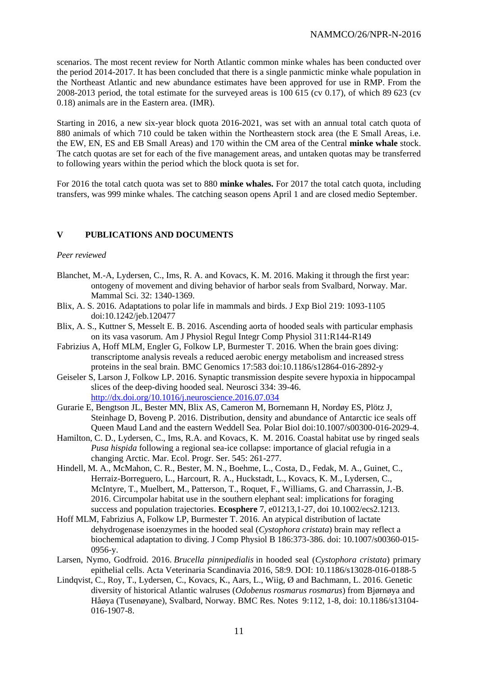scenarios. The most recent review for North Atlantic common minke whales has been conducted over the period 2014-2017. It has been concluded that there is a single panmictic minke whale population in the Northeast Atlantic and new abundance estimates have been approved for use in RMP. From the 2008-2013 period, the total estimate for the surveyed areas is 100 615 (cv 0.17), of which 89 623 (cv 0.18) animals are in the Eastern area. (IMR).

Starting in 2016, a new six-year block quota 2016-2021, was set with an annual total catch quota of 880 animals of which 710 could be taken within the Northeastern stock area (the E Small Areas, i.e. the EW, EN, ES and EB Small Areas) and 170 within the CM area of the Central **minke whale** stock. The catch quotas are set for each of the five management areas, and untaken quotas may be transferred to following years within the period which the block quota is set for.

For 2016 the total catch quota was set to 880 **minke whales.** For 2017 the total catch quota, including transfers, was 999 minke whales. The catching season opens April 1 and are closed medio September.

# **V PUBLICATIONS AND DOCUMENTS**

#### *Peer reviewed*

- Blanchet, M.-A, Lydersen, C., Ims, R. A. and Kovacs, K. M. 2016. Making it through the first year: ontogeny of movement and diving behavior of harbor seals from Svalbard, Norway. Mar. Mammal Sci. 32: 1340-1369.
- Blix, A. S. 2016. Adaptations to polar life in mammals and birds. J Exp Biol 219: 1093-1105 doi:10.1242/jeb.120477
- Blix, A. S., Kuttner S, Messelt E. B. 2016. Ascending aorta of hooded seals with particular emphasis on its vasa vasorum. Am J Physiol Regul Integr Comp Physiol 311:R144-R149
- Fabrizius A, Hoff MLM, Engler G, Folkow LP, Burmester T. 2016. When the brain goes diving: transcriptome analysis reveals a reduced aerobic energy metabolism and increased stress proteins in the seal brain. BMC Genomics 17:583 doi:10.1186/s12864-016-2892-y
- Geiseler S, Larson J, Folkow LP. 2016. Synaptic transmission despite severe hypoxia in hippocampal slices of the deep-diving hooded seal. Neurosci 334: 39-46. <http://dx.doi.org/10.1016/j.neuroscience.2016.07.034>
- Gurarie E, Bengtson JL, Bester MN, Blix AS, Cameron M, Bornemann H, Nordøy ES, Plötz J, Steinhage D, Boveng P. 2016. Distribution, density and abundance of Antarctic ice seals off Queen Maud Land and the eastern Weddell Sea. Polar Biol doi:10.1007/s00300-016-2029-4.
- Hamilton, C. D., Lydersen, C., Ims, R.A. and Kovacs, K. M. 2016. Coastal habitat use by ringed seals *Pusa hispida* following a regional sea-ice collapse: importance of glacial refugia in a changing Arctic. Mar. Ecol. Progr. Ser. 545: 261-277.
- Hindell, M. A., McMahon, C. R., Bester, M. N., Boehme, L., Costa, D., Fedak, M. A., Guinet, C., Herraiz-Borreguero, L., Harcourt, R. A., Huckstadt, L., Kovacs, K. M., Lydersen, C., McIntyre, T., Muelbert, M., Patterson, T., Roquet, F., Williams, G. and Charrassin, J.-B. 2016. Circumpolar habitat use in the southern elephant seal: implications for foraging success and population trajectories. **Ecosphere** 7, e01213,1-27, doi 10.1002/ecs2.1213.
- Hoff MLM, Fabrizius A, Folkow LP, Burmester T. 2016. An atypical distribution of lactate dehydrogenase isoenzymes in the hooded seal (*Cystophora cristata*) brain may reflect a biochemical adaptation to diving. J Comp Physiol B 186:373-386. doi: 10.1007/s00360-015- 0956-y.
- Larsen, Nymo, Godfroid. 2016. *Brucella pinnipedialis* in hooded seal (*Cystophora cristata*) primary epithelial cells. Acta Veterinaria Scandinavia 2016, 58:9. DOI: 10.1186/s13028-016-0188-5
- Lindqvist, C., Roy, T., Lydersen, C., Kovacs, K., Aars, L., Wiig, Ø and Bachmann, L. 2016. Genetic diversity of historical Atlantic walruses (*Odobenus rosmarus rosmarus*) from Bjørnøya and Håøya (Tusenøyane), Svalbard, Norway. BMC Res. Notes 9:112, 1-8, doi: 10.1186/s13104- 016-1907-8.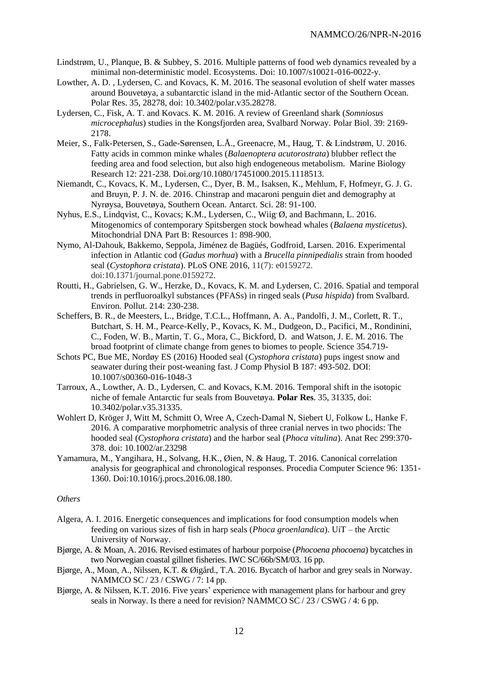- Lindstrøm, U., Planque, B. & Subbey, S. 2016. Multiple patterns of food web dynamics revealed by a minimal non-deterministic model. Ecosystems. Doi: 10.1007/s10021-016-0022-y.
- Lowther, A. D. , Lydersen, C. and Kovacs, K. M. 2016. The seasonal evolution of shelf water masses around Bouvetøya, a subantarctic island in the mid-Atlantic sector of the Southern Ocean. Polar Res. 35, 28278, doi: 10.3402/polar.v35.28278.
- Lydersen, C., Fisk, A. T. and Kovacs. K. M. 2016. A review of Greenland shark (*Somniosus microcephalus*) studies in the Kongsfjorden area, Svalbard Norway. Polar Biol. 39: 2169- 2178.
- Meier, S., Falk-Petersen, S., Gade-Sørensen, L.Å., Greenacre, M., Haug, T. & Lindstrøm, U. 2016. Fatty acids in common minke whales (*Balaenoptera acutorostrata*) blubber reflect the feeding area and food selection, but also high endogeneous metabolism. Marine Biology Research 12: 221-238. Doi.org/10.1080/17451000.2015.1118513.
- Niemandt, C., Kovacs, K. M., Lydersen, C., Dyer, B. M., Isaksen, K., Mehlum, F, Hofmeyr, G. J. G. and Bruyn, P. J. N. de. 2016. Chinstrap and macaroni penguin diet and demography at Nyrøysa, Bouvetøya, Southern Ocean. Antarct. Sci. 28: 91-100.
- Nyhus, E.S., Lindqvist, C., Kovacs; K.M., Lydersen, C., Wiig, Ø, and Bachmann, L. 2016. Mitogenomics of contemporary Spitsbergen stock bowhead whales (*Balaena mysticetus*). Mitochondrial DNA Part B: Resources 1: 898-900.
- Nymo, Al-Dahouk, Bakkemo, Seppola, Jiménez de Bagüés, Godfroid, Larsen. 2016. Experimental infection in Atlantic cod (*Gadus morhua*) with a *Brucella pinnipedialis* strain from hooded seal (*Cystophora cristata*). PLoS ONE 2016, 11(7): e0159272. doi:10.1371/journal.pone.0159272.
- Routti, H., Gabrielsen, G. W., Herzke, D., Kovacs, K. M. and Lydersen, C. 2016. Spatial and temporal trends in perfluoroalkyl substances (PFASs) in ringed seals (*Pusa hispida*) from Svalbard. Environ. Pollut. 214: 230-238.
- Scheffers, B. R., de Meesters, L., Bridge, T.C.L., Hoffmann, A. A., Pandolfi, J. M., Corlett, R. T., Butchart, S. H. M., Pearce-Kelly, P., Kovacs, K. M., Dudgeon, D., Pacifici, M., Rondinini, C., Foden, W. B., Martin, T. G., Mora, C., Bickford, D. and Watson, J. E. M. 2016. The broad footprint of climate change from genes to biomes to people. Science 354.719-
- Schots PC, Bue ME, Nordøy ES (2016) Hooded seal (*Cystophora cristata*) pups ingest snow and seawater during their post-weaning fast. J Comp Physiol B 187: 493-502. DOI: 10.1007/s00360-016-1048-3
- Tarroux, A., Lowther, A. D., Lydersen, C. and Kovacs, K.M. 2016. Temporal shift in the isotopic niche of female Antarctic fur seals from Bouvetøya. **Polar Res**. 35, 31335, doi: 10.3402/polar.v35.31335.
- Wohlert D, Kröger J, Witt M, Schmitt O, Wree A, Czech-Damal N, Siebert U, Folkow L, Hanke F. 2016. A comparative morphometric analysis of three cranial nerves in two phocids: The hooded seal (*Cystophora cristata*) and the harbor seal (*Phoca vitulina*). Anat Rec 299:370- 378. doi: 10.1002/ar.23298
- Yamamura, M., Yangihara, H., Solvang, H.K., Øien, N. & Haug, T. 2016. Canonical correlation analysis for geographical and chronological responses. Procedia Computer Science 96: 1351- 1360. Doi:10.1016/j.procs.2016.08.180.

# *Others*

- Algera, A. I. 2016. Energetic consequences and implications for food consumption models when feeding on various sizes of fish in harp seals (*Phoca groenlandica*). UiT – the Arctic University of Norway.
- Bjørge, A. & Moan, A. 2016. Revised estimates of harbour porpoise (*Phocoena phocoena*) bycatches in two Norwegian coastal gillnet fisheries. IWC SC/66b/SM/03. 16 pp.
- Bjørge, A., Moan, A., Nilssen, K.T. & Øigård., T.A. 2016. Bycatch of harbor and grey seals in Norway. NAMMCO SC / 23 / CSWG / 7: 14 pp.
- Bjørge, A. & Nilssen, K.T. 2016. Five years' experience with management plans for harbour and grey seals in Norway. Is there a need for revision? NAMMCO SC / 23 / CSWG / 4: 6 pp.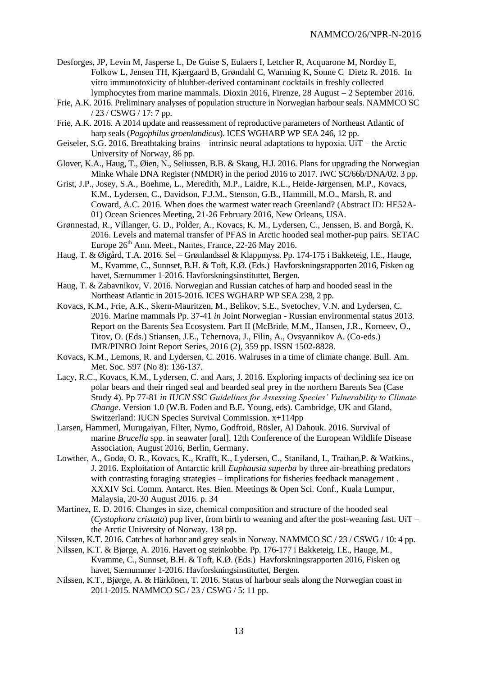- Desforges, JP, Levin M, Jasperse L, De Guise S, Eulaers I, Letcher R, Acquarone M, Nordøy E, Folkow L, Jensen TH, Kjærgaard B, Grøndahl C, Warming K, Sonne C Dietz R. 2016. In vitro immunotoxicity of blubber-derived contaminant cocktails in freshly collected lymphocytes from marine mammals. Dioxin 2016, Firenze, 28 August – 2 September 2016.
- Frie, A.K. 2016. Preliminary analyses of population structure in Norwegian harbour seals. NAMMCO SC / 23 / CSWG / 17: 7 pp.
- Frie, A.K. 2016. A 2014 update and reassessment of reproductive parameters of Northeast Atlantic of harp seals (*Pagophilus groenlandicus*). ICES WGHARP WP SEA 246, 12 pp.
- Geiseler, S.G. 2016. Breathtaking brains intrinsic neural adaptations to hypoxia. UiT the Arctic University of Norway, 86 pp.
- Glover, K.A., Haug, T., Øien, N., Seliussen, B.B. & Skaug, H.J. 2016. Plans for upgrading the Norwegian Minke Whale DNA Register (NMDR) in the period 2016 to 2017. IWC SC/66b/DNA/02. 3 pp.
- Grist, J.P., Josey, S.A., Boehme, L., Meredith, M.P., Laidre, K.L., Heide-Jørgensen, M.P., Kovacs, K.M., Lydersen, C., Davidson, F.J.M., Stenson, G.B., Hammill, M.O., Marsh, R. and Coward, A.C. 2016. When does the warmest water reach Greenland? (Abstract ID: HE52A-01) Ocean Sciences Meeting, 21-26 February 2016, New Orleans, USA.
- Grønnestad, R., Villanger, G. D., Polder, A., Kovacs, K. M., Lydersen, C., Jenssen, B. and Borgå, K. 2016. Levels and maternal transfer of PFAS in Arctic hooded seal mother-pup pairs. SETAC Europe  $26<sup>th</sup>$  Ann. Meet., Nantes, France, 22-26 May 2016.
- Haug, T. & Øigård, T.A. 2016. Sel Grønlandssel & Klappmyss. Pp. 174-175 i Bakketeig, I.E., Hauge, M., Kvamme, C., Sunnset, B.H. & Toft, K.Ø. (Eds.) Havforskningsrapporten 2016, Fisken og havet, Særnummer 1-2016. Havforskningsinstituttet, Bergen.
- Haug, T. & Zabavnikov, V. 2016. Norwegian and Russian catches of harp and hooded seasl in the Northeast Atlantic in 2015-2016. ICES WGHARP WP SEA 238, 2 pp.
- Kovacs, K.M., Frie, A.K., Skern-Mauritzen, M., Belikov, S.E., Svetochev, V.N. and Lydersen, C. 2016. Marine mammals Pp. 37-41 *in* Joint Norwegian - Russian environmental status 2013. Report on the Barents Sea Ecosystem. Part II (McBride, M.M., Hansen, J.R., Korneev, O., Titov, O. (Eds.) Stiansen, J.E., Tchernova, J., Filin, A., Ovsyannikov A. (Co-eds.) IMR/PINRO Joint Report Series, 2016 (2), 359 pp. ISSN 1502-8828.
- Kovacs, K.M., Lemons, R. and Lydersen, C. 2016. Walruses in a time of climate change. Bull. Am. Met. Soc. S97 (No 8): 136-137.
- Lacy, R.C., Kovacs, K.M., Lydersen, C. and Aars, J. 2016. Exploring impacts of declining sea ice on polar bears and their ringed seal and bearded seal prey in the northern Barents Sea (Case Study 4). Pp 77-81 *in IUCN SSC Guidelines for Assessing Species' Vulnerability to Climate Change*. Version 1.0 (W.B. Foden and B.E. Young, eds). Cambridge, UK and Gland, Switzerland: IUCN Species Survival Commission. x+114pp
- Larsen, Hammerl, Murugaiyan, Filter, Nymo, Godfroid, Rösler, Al Dahouk. 2016. Survival of marine *Brucella* spp. in seawater [oral]. 12th Conference of the European Wildlife Disease Association, August 2016, Berlin, Germany.
- Lowther, A., Godø, O. R., Kovacs, K., Krafft, K., Lydersen, C., Staniland, I., Trathan,P. & Watkins., J. 2016. Exploitation of Antarctic krill *Euphausia superba* by three air-breathing predators with contrasting foraging strategies – implications for fisheries feedback management. XXXIV Sci. Comm. Antarct. Res. Bien. Meetings & Open Sci. Conf., Kuala Lumpur, Malaysia, 20-30 August 2016. p. 34
- Martinez, E. D. 2016. Changes in size, chemical composition and structure of the hooded seal (*Cystophora cristata*) pup liver, from birth to weaning and after the post-weaning fast. UiT – the Arctic University of Norway, 138 pp.
- Nilssen, K.T. 2016. Catches of harbor and grey seals in Norway. NAMMCO SC / 23 / CSWG / 10: 4 pp.
- Nilssen, K.T. & Bjørge, A. 2016. Havert og steinkobbe. Pp. 176-177 i Bakketeig, I.E., Hauge, M., Kvamme, C., Sunnset, B.H. & Toft, K.Ø. (Eds.) Havforskningsrapporten 2016, Fisken og havet, Særnummer 1-2016. Havforskningsinstituttet, Bergen.
- Nilssen, K.T., Bjørge, A. & Härkönen, T. 2016. Status of harbour seals along the Norwegian coast in 2011-2015. NAMMCO SC / 23 / CSWG / 5: 11 pp.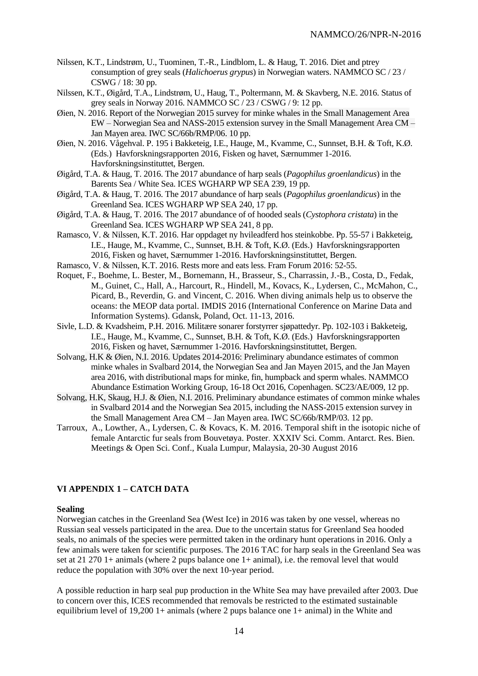- Nilssen, K.T., Lindstrøm, U., Tuominen, T.-R., Lindblom, L. & Haug, T. 2016. Diet and ptrey consumption of grey seals (*Halichoerus grypus*) in Norwegian waters. NAMMCO SC / 23 / CSWG / 18: 30 pp.
- Nilssen, K.T., Øigård, T.A., Lindstrøm, U., Haug, T., Poltermann, M. & Skavberg, N.E. 2016. Status of grey seals in Norway 2016. NAMMCO SC / 23 / CSWG / 9: 12 pp.
- Øien, N. 2016. Report of the Norwegian 2015 survey for minke whales in the Small Management Area EW – Norwegian Sea and NASS-2015 extension survey in the Small Management Area CM – Jan Mayen area. IWC SC/66b/RMP/06. 10 pp.
- Øien, N. 2016. Vågehval. P. 195 i Bakketeig, I.E., Hauge, M., Kvamme, C., Sunnset, B.H. & Toft, K.Ø. (Eds.) Havforskningsrapporten 2016, Fisken og havet, Særnummer 1-2016. Havforskningsinstituttet, Bergen.
- Øigård, T.A. & Haug, T. 2016. The 2017 abundance of harp seals (*Pagophilus groenlandicus*) in the Barents Sea / White Sea. ICES WGHARP WP SEA 239, 19 pp.
- Øigård, T.A. & Haug, T. 2016. The 2017 abundance of harp seals (*Pagophilus groenlandicus*) in the Greenland Sea. ICES WGHARP WP SEA 240, 17 pp.
- Øigård, T.A. & Haug, T. 2016. The 2017 abundance of of hooded seals (*Cystophora cristata*) in the Greenland Sea. ICES WGHARP WP SEA 241, 8 pp.
- Ramasco, V. & Nilssen, K.T. 2016. Har oppdaget ny hvileadferd hos steinkobbe. Pp. 55-57 i Bakketeig, I.E., Hauge, M., Kvamme, C., Sunnset, B.H. & Toft, K.Ø. (Eds.) Havforskningsrapporten 2016, Fisken og havet, Særnummer 1-2016. Havforskningsinstituttet, Bergen.
- Ramasco, V. & Nilssen, K.T. 2016. Rests more and eats less. Fram Forum 2016: 52-55.
- Roquet, F., Boehme, L. Bester, M., Bornemann, H., Brasseur, S., Charrassin, J.-B., Costa, D., Fedak, M., Guinet, C., Hall, A., Harcourt, R., Hindell, M., Kovacs, K., Lydersen, C., McMahon, C., Picard, B., Reverdin, G. and Vincent, C. 2016. When diving animals help us to observe the oceans: the MEOP data portal. [IMDIS 2016](http://imdis2016.seadatanet.org/) (International Conference on Marine Data and Information Systems). Gdansk, Poland, Oct. 11-13, 2016.
- Sivle, L.D. & Kvadsheim, P.H. 2016. Militære sonarer forstyrrer sjøpattedyr. Pp. 102-103 i Bakketeig, I.E., Hauge, M., Kvamme, C., Sunnset, B.H. & Toft, K.Ø. (Eds.) Havforskningsrapporten 2016, Fisken og havet, Særnummer 1-2016. Havforskningsinstituttet, Bergen.
- Solvang, H.K & Øien, N.I. 2016. Updates 2014-2016: Preliminary abundance estimates of common minke whales in Svalbard 2014, the Norwegian Sea and Jan Mayen 2015, and the Jan Mayen area 2016, with distributional maps for minke, fin, humpback and sperm whales. NAMMCO Abundance Estimation Working Group, 16-18 Oct 2016, Copenhagen. SC23/AE/009, 12 pp.
- Solvang, H.K, Skaug, H.J. & Øien, N.I. 2016. Preliminary abundance estimates of common minke whales in Svalbard 2014 and the Norwegian Sea 2015, including the NASS-2015 extension survey in the Small Management Area CM – Jan Mayen area. IWC SC/66b/RMP/03. 12 pp.
- Tarroux, A., Lowther, A., Lydersen, C. & Kovacs, K. M. 2016. Temporal shift in the isotopic niche of female Antarctic fur seals from Bouvetøya. Poster. XXXIV Sci. Comm. Antarct. Res. Bien. Meetings & Open Sci. Conf., Kuala Lumpur, Malaysia, 20-30 August 2016

# **VI APPENDIX 1 – CATCH DATA**

### **Sealing**

Norwegian catches in the Greenland Sea (West Ice) in 2016 was taken by one vessel, whereas no Russian seal vessels participated in the area. Due to the uncertain status for Greenland Sea hooded seals, no animals of the species were permitted taken in the ordinary hunt operations in 2016. Only a few animals were taken for scientific purposes. The 2016 TAC for harp seals in the Greenland Sea was set at 21 270 1+ animals (where 2 pups balance one 1+ animal), i.e. the removal level that would reduce the population with 30% over the next 10-year period.

A possible reduction in harp seal pup production in the White Sea may have prevailed after 2003. Due to concern over this, ICES recommended that removals be restricted to the estimated sustainable equilibrium level of 19,200 1+ animals (where 2 pups balance one  $1+$  animal) in the White and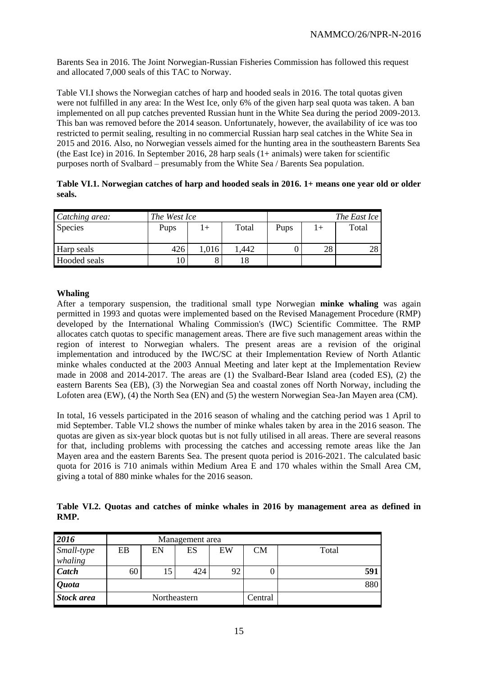Barents Sea in 2016. The Joint Norwegian-Russian Fisheries Commission has followed this request and allocated 7,000 seals of this TAC to Norway.

Table VI.I shows the Norwegian catches of harp and hooded seals in 2016. The total quotas given were not fulfilled in any area: In the West Ice, only 6% of the given harp seal quota was taken. A ban implemented on all pup catches prevented Russian hunt in the White Sea during the period 2009-2013. This ban was removed before the 2014 season. Unfortunately, however, the availability of ice was too restricted to permit sealing, resulting in no commercial Russian harp seal catches in the White Sea in 2015 and 2016. Also, no Norwegian vessels aimed for the hunting area in the southeastern Barents Sea (the East Ice) in 2016. In September 2016, 28 harp seals (1+ animals) were taken for scientific purposes north of Svalbard – presumably from the White Sea / Barents Sea population.

|        | Table VI.1. Norwegian catches of harp and hooded seals in 2016. 1+ means one year old or older |  |  |  |
|--------|------------------------------------------------------------------------------------------------|--|--|--|
| seals. |                                                                                                |  |  |  |

| Catching area: | The West Ice |       |       | The East Ice |  |       |  |
|----------------|--------------|-------|-------|--------------|--|-------|--|
| <b>Species</b> | Pups         | $+$   | Total | Pups         |  | Total |  |
| Harp seals     | 426          | 1,016 | .442  |              |  | 28    |  |
| Hooded seals   |              |       | .8    |              |  |       |  |

### **Whaling**

After a temporary suspension, the traditional small type Norwegian **minke whaling** was again permitted in 1993 and quotas were implemented based on the Revised Management Procedure (RMP) developed by the International Whaling Commission's (IWC) Scientific Committee. The RMP allocates catch quotas to specific management areas. There are five such management areas within the region of interest to Norwegian whalers. The present areas are a revision of the original implementation and introduced by the IWC/SC at their Implementation Review of North Atlantic minke whales conducted at the 2003 Annual Meeting and later kept at the Implementation Review made in 2008 and 2014-2017. The areas are (1) the Svalbard-Bear Island area (coded ES), (2) the eastern Barents Sea (EB), (3) the Norwegian Sea and coastal zones off North Norway, including the Lofoten area (EW), (4) the North Sea (EN) and (5) the western Norwegian Sea-Jan Mayen area (CM).

In total, 16 vessels participated in the 2016 season of whaling and the catching period was 1 April to mid September. Table VI.2 shows the number of minke whales taken by area in the 2016 season. The quotas are given as six-year block quotas but is not fully utilised in all areas. There are several reasons for that, including problems with processing the catches and accessing remote areas like the Jan Mayen area and the eastern Barents Sea. The present quota period is 2016-2021. The calculated basic quota for 2016 is 710 animals within Medium Area E and 170 whales within the Small Area CM, giving a total of 880 minke whales for the 2016 season.

**Table VI.2. Quotas and catches of minke whales in 2016 by management area as defined in RMP.**

| 2016              | Management area |    |     |    |           |       |
|-------------------|-----------------|----|-----|----|-----------|-------|
| Small-type        | EB              | EN | ES  | EW | <b>CM</b> | Total |
| whaling           |                 |    |     |    |           |       |
| Catch             | 60              | 15 | 424 | 92 |           | 591   |
| <b>Quota</b>      |                 |    |     |    |           | 880   |
| <b>Stock area</b> | Northeastern    |    |     |    | Central   |       |